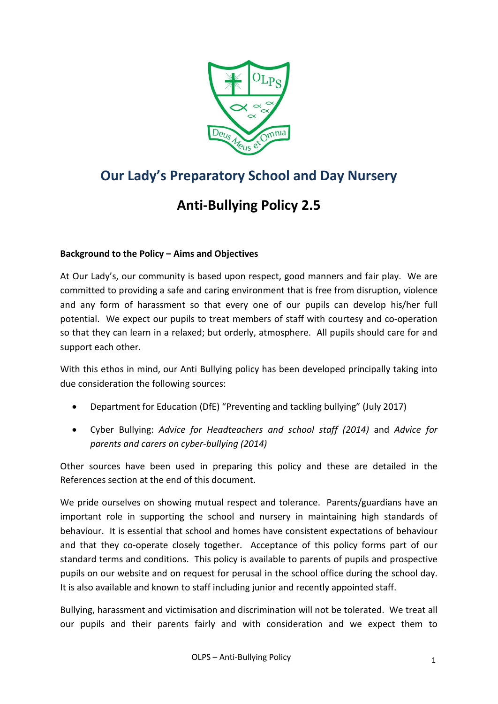

# **Our Lady's Preparatory School and Day Nursery**

# **Anti-Bullying Policy 2.5**

## **Background to the Policy – Aims and Objectives**

At Our Lady's, our community is based upon respect, good manners and fair play. We are committed to providing a safe and caring environment that is free from disruption, violence and any form of harassment so that every one of our pupils can develop his/her full potential. We expect our pupils to treat members of staff with courtesy and co-operation so that they can learn in a relaxed; but orderly, atmosphere. All pupils should care for and support each other.

With this ethos in mind, our Anti Bullying policy has been developed principally taking into due consideration the following sources:

- Department for Education (DfE) "Preventing and tackling bullying" (July 2017)
- Cyber Bullying: *Advice for Headteachers and school staff (2014)* and *Advice for parents and carers on cyber-bullying (2014)*

Other sources have been used in preparing this policy and these are detailed in the References section at the end of this document.

We pride ourselves on showing mutual respect and tolerance. Parents/guardians have an important role in supporting the school and nursery in maintaining high standards of behaviour. It is essential that school and homes have consistent expectations of behaviour and that they co-operate closely together. Acceptance of this policy forms part of our standard terms and conditions. This policy is available to parents of pupils and prospective pupils on our website and on request for perusal in the school office during the school day. It is also available and known to staff including junior and recently appointed staff.

Bullying, harassment and victimisation and discrimination will not be tolerated. We treat all our pupils and their parents fairly and with consideration and we expect them to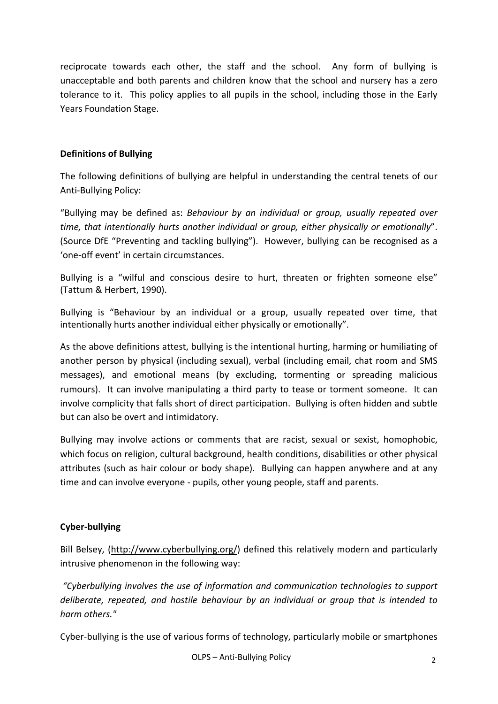reciprocate towards each other, the staff and the school. Any form of bullying is unacceptable and both parents and children know that the school and nursery has a zero tolerance to it. This policy applies to all pupils in the school, including those in the Early Years Foundation Stage.

#### **Definitions of Bullying**

The following definitions of bullying are helpful in understanding the central tenets of our Anti-Bullying Policy:

"Bullying may be defined as: *Behaviour by an individual or group, usually repeated over time, that intentionally hurts another individual or group, either physically or emotionally*". (Source DfE "Preventing and tackling bullying"). However, bullying can be recognised as a 'one-off event' in certain circumstances.

Bullying is a "wilful and conscious desire to hurt, threaten or frighten someone else" (Tattum & Herbert, 1990).

Bullying is "Behaviour by an individual or a group, usually repeated over time, that intentionally hurts another individual either physically or emotionally".

As the above definitions attest, bullying is the intentional hurting, harming or humiliating of another person by physical (including sexual), verbal (including email, chat room and SMS messages), and emotional means (by excluding, tormenting or spreading malicious rumours). It can involve manipulating a third party to tease or torment someone. It can involve complicity that falls short of direct participation. Bullying is often hidden and subtle but can also be overt and intimidatory.

Bullying may involve actions or comments that are racist, sexual or sexist, homophobic, which focus on religion, cultural background, health conditions, disabilities or other physical attributes (such as hair colour or body shape). Bullying can happen anywhere and at any time and can involve everyone - pupils, other young people, staff and parents.

## **Cyber-bullying**

Bill Belsey, [\(http://www.cyberbullying.org/\)](http://www.cyberbullying.org/) defined this relatively modern and particularly intrusive phenomenon in the following way:

*"Cyberbullying involves the use of information and communication technologies to support deliberate, repeated, and hostile behaviour by an individual or group that is intended to harm others."* 

Cyber-bullying is the use of various forms of technology, particularly mobile or smartphones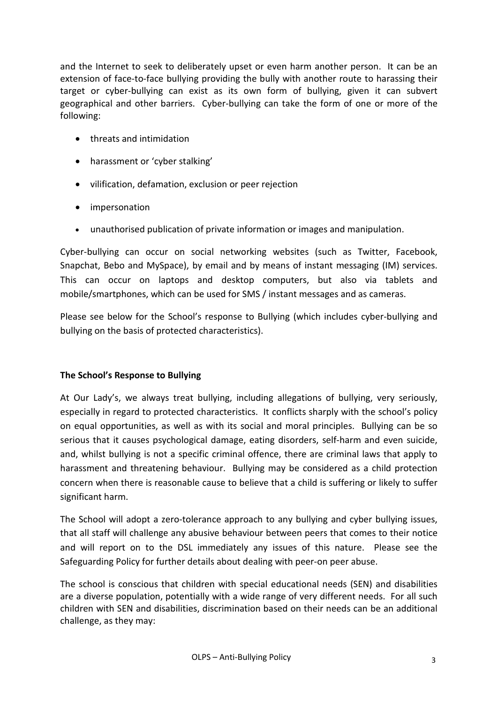and the Internet to seek to deliberately upset or even harm another person. It can be an extension of face-to-face bullying providing the bully with another route to harassing their target or cyber-bullying can exist as its own form of bullying, given it can subvert geographical and other barriers. Cyber-bullying can take the form of one or more of the following:

- threats and intimidation
- harassment or 'cyber stalking'
- vilification, defamation, exclusion or peer rejection
- impersonation
- unauthorised publication of private information or images and manipulation.

Cyber-bullying can occur on social networking websites (such as Twitter, Facebook, Snapchat, Bebo and MySpace), by email and by means of instant messaging (IM) services. This can occur on laptops and desktop computers, but also via tablets and mobile/smartphones, which can be used for SMS / instant messages and as cameras.

Please see below for the School's response to Bullying (which includes cyber-bullying and bullying on the basis of protected characteristics).

## **The School's Response to Bullying**

At Our Lady's, we always treat bullying, including allegations of bullying, very seriously, especially in regard to protected characteristics. It conflicts sharply with the school's policy on equal opportunities, as well as with its social and moral principles. Bullying can be so serious that it causes psychological damage, eating disorders, self-harm and even suicide, and, whilst bullying is not a specific criminal offence, there are criminal laws that apply to harassment and threatening behaviour. Bullying may be considered as a child protection concern when there is reasonable cause to believe that a child is suffering or likely to suffer significant harm.

The School will adopt a zero-tolerance approach to any bullying and cyber bullying issues, that all staff will challenge any abusive behaviour between peers that comes to their notice and will report on to the DSL immediately any issues of this nature. Please see the Safeguarding Policy for further details about dealing with peer-on peer abuse.

The school is conscious that children with special educational needs (SEN) and disabilities are a diverse population, potentially with a wide range of very different needs. For all such children with SEN and disabilities, discrimination based on their needs can be an additional challenge, as they may: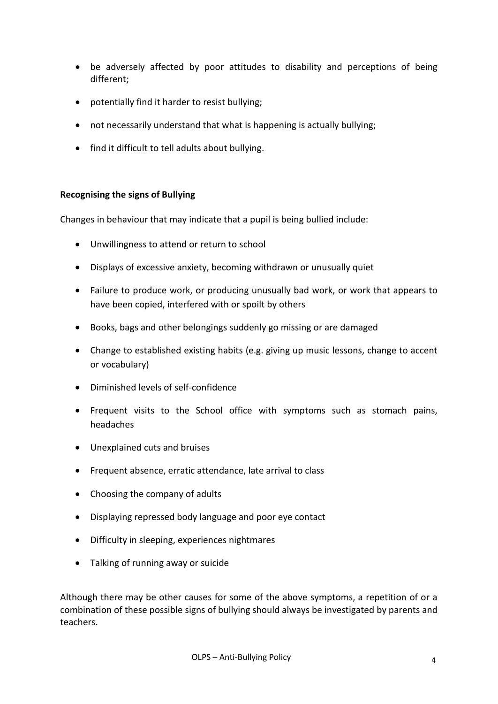- be adversely affected by poor attitudes to disability and perceptions of being different;
- potentially find it harder to resist bullying;
- not necessarily understand that what is happening is actually bullying;
- find it difficult to tell adults about bullying.

#### **Recognising the signs of Bullying**

Changes in behaviour that may indicate that a pupil is being bullied include:

- Unwillingness to attend or return to school
- Displays of excessive anxiety, becoming withdrawn or unusually quiet
- Failure to produce work, or producing unusually bad work, or work that appears to have been copied, interfered with or spoilt by others
- Books, bags and other belongings suddenly go missing or are damaged
- Change to established existing habits (e.g. giving up music lessons, change to accent or vocabulary)
- Diminished levels of self-confidence
- Frequent visits to the School office with symptoms such as stomach pains, headaches
- Unexplained cuts and bruises
- Frequent absence, erratic attendance, late arrival to class
- Choosing the company of adults
- Displaying repressed body language and poor eye contact
- Difficulty in sleeping, experiences nightmares
- Talking of running away or suicide

Although there may be other causes for some of the above symptoms, a repetition of or a combination of these possible signs of bullying should always be investigated by parents and teachers.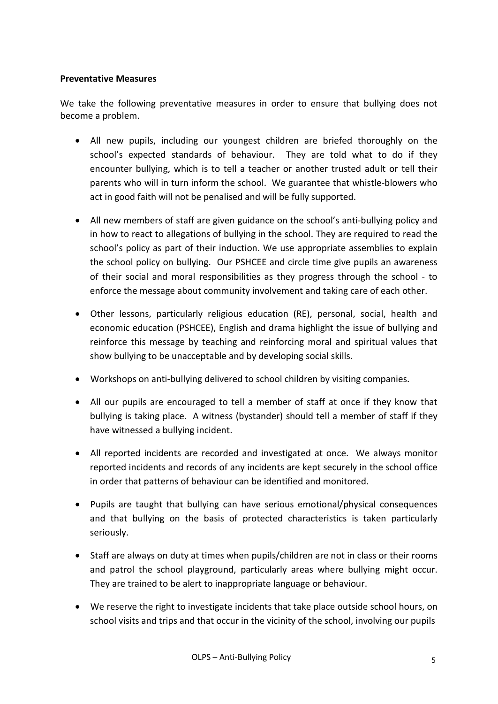#### **Preventative Measures**

We take the following preventative measures in order to ensure that bullying does not become a problem.

- All new pupils, including our youngest children are briefed thoroughly on the school's expected standards of behaviour. They are told what to do if they encounter bullying, which is to tell a teacher or another trusted adult or tell their parents who will in turn inform the school. We guarantee that whistle-blowers who act in good faith will not be penalised and will be fully supported.
- All new members of staff are given guidance on the school's anti-bullying policy and in how to react to allegations of bullying in the school. They are required to read the school's policy as part of their induction. We use appropriate assemblies to explain the school policy on bullying. Our PSHCEE and circle time give pupils an awareness of their social and moral responsibilities as they progress through the school - to enforce the message about community involvement and taking care of each other.
- Other lessons, particularly religious education (RE), personal, social, health and economic education (PSHCEE), English and drama highlight the issue of bullying and reinforce this message by teaching and reinforcing moral and spiritual values that show bullying to be unacceptable and by developing social skills.
- Workshops on anti-bullying delivered to school children by visiting companies.
- All our pupils are encouraged to tell a member of staff at once if they know that bullying is taking place. A witness (bystander) should tell a member of staff if they have witnessed a bullying incident.
- All reported incidents are recorded and investigated at once. We always monitor reported incidents and records of any incidents are kept securely in the school office in order that patterns of behaviour can be identified and monitored.
- Pupils are taught that bullying can have serious emotional/physical consequences and that bullying on the basis of protected characteristics is taken particularly seriously.
- Staff are always on duty at times when pupils/children are not in class or their rooms and patrol the school playground, particularly areas where bullying might occur. They are trained to be alert to inappropriate language or behaviour.
- We reserve the right to investigate incidents that take place outside school hours, on school visits and trips and that occur in the vicinity of the school, involving our pupils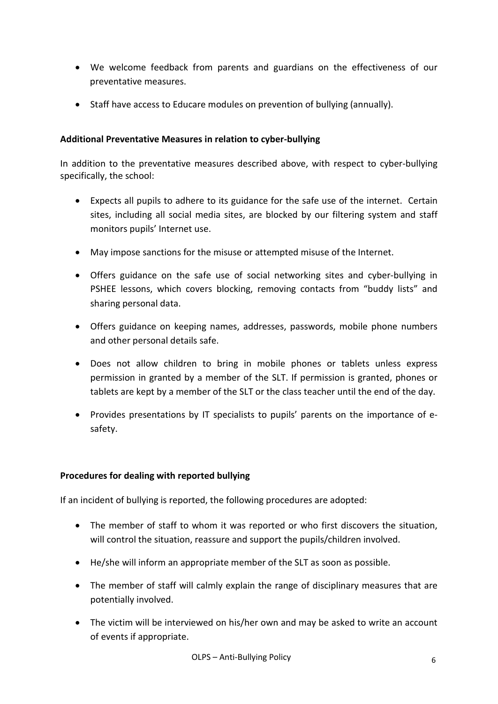- We welcome feedback from parents and guardians on the effectiveness of our preventative measures.
- Staff have access to Educare modules on prevention of bullying (annually).

#### **Additional Preventative Measures in relation to cyber-bullying**

In addition to the preventative measures described above, with respect to cyber-bullying specifically, the school:

- Expects all pupils to adhere to its guidance for the safe use of the internet. Certain sites, including all social media sites, are blocked by our filtering system and staff monitors pupils' Internet use.
- May impose sanctions for the misuse or attempted misuse of the Internet.
- Offers guidance on the safe use of social networking sites and cyber-bullying in PSHEE lessons, which covers blocking, removing contacts from "buddy lists" and sharing personal data.
- Offers guidance on keeping names, addresses, passwords, mobile phone numbers and other personal details safe.
- Does not allow children to bring in mobile phones or tablets unless express permission in granted by a member of the SLT. If permission is granted, phones or tablets are kept by a member of the SLT or the class teacher until the end of the day.
- Provides presentations by IT specialists to pupils' parents on the importance of esafety.

#### **Procedures for dealing with reported bullying**

If an incident of bullying is reported, the following procedures are adopted:

- The member of staff to whom it was reported or who first discovers the situation, will control the situation, reassure and support the pupils/children involved.
- He/she will inform an appropriate member of the SLT as soon as possible.
- The member of staff will calmly explain the range of disciplinary measures that are potentially involved.
- The victim will be interviewed on his/her own and may be asked to write an account of events if appropriate.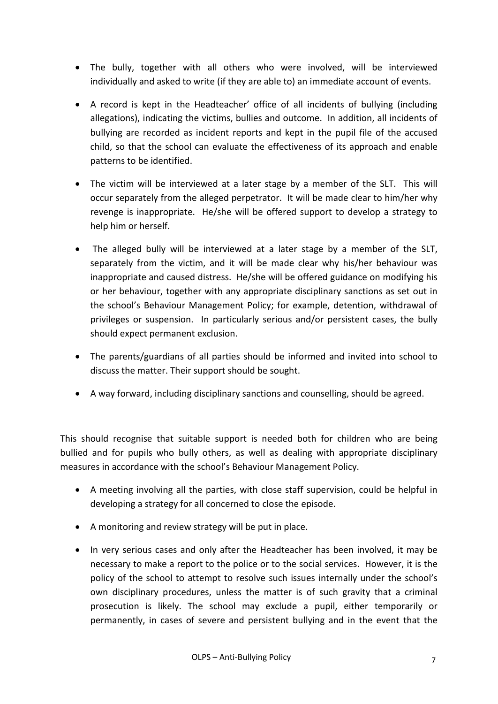- The bully, together with all others who were involved, will be interviewed individually and asked to write (if they are able to) an immediate account of events.
- A record is kept in the Headteacher' office of all incidents of bullying (including allegations), indicating the victims, bullies and outcome. In addition, all incidents of bullying are recorded as incident reports and kept in the pupil file of the accused child, so that the school can evaluate the effectiveness of its approach and enable patterns to be identified.
- The victim will be interviewed at a later stage by a member of the SLT. This will occur separately from the alleged perpetrator. It will be made clear to him/her why revenge is inappropriate. He/she will be offered support to develop a strategy to help him or herself.
- The alleged bully will be interviewed at a later stage by a member of the SLT, separately from the victim, and it will be made clear why his/her behaviour was inappropriate and caused distress. He/she will be offered guidance on modifying his or her behaviour, together with any appropriate disciplinary sanctions as set out in the school's Behaviour Management Policy; for example, detention, withdrawal of privileges or suspension. In particularly serious and/or persistent cases, the bully should expect permanent exclusion.
- The parents/guardians of all parties should be informed and invited into school to discuss the matter. Their support should be sought.
- A way forward, including disciplinary sanctions and counselling, should be agreed.

This should recognise that suitable support is needed both for children who are being bullied and for pupils who bully others, as well as dealing with appropriate disciplinary measures in accordance with the school's Behaviour Management Policy.

- A meeting involving all the parties, with close staff supervision, could be helpful in developing a strategy for all concerned to close the episode.
- A monitoring and review strategy will be put in place.
- In very serious cases and only after the Headteacher has been involved, it may be necessary to make a report to the police or to the social services. However, it is the policy of the school to attempt to resolve such issues internally under the school's own disciplinary procedures, unless the matter is of such gravity that a criminal prosecution is likely. The school may exclude a pupil, either temporarily or permanently, in cases of severe and persistent bullying and in the event that the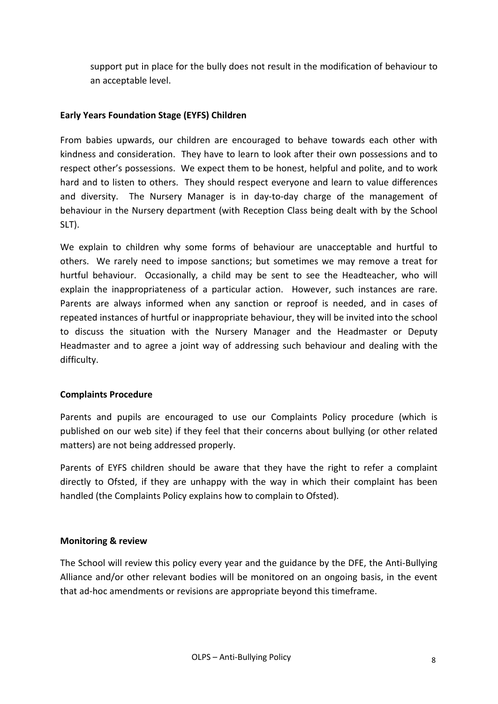support put in place for the bully does not result in the modification of behaviour to an acceptable level.

#### **Early Years Foundation Stage (EYFS) Children**

From babies upwards, our children are encouraged to behave towards each other with kindness and consideration. They have to learn to look after their own possessions and to respect other's possessions. We expect them to be honest, helpful and polite, and to work hard and to listen to others. They should respect everyone and learn to value differences and diversity. The Nursery Manager is in day-to-day charge of the management of behaviour in the Nursery department (with Reception Class being dealt with by the School SLT).

We explain to children why some forms of behaviour are unacceptable and hurtful to others. We rarely need to impose sanctions; but sometimes we may remove a treat for hurtful behaviour. Occasionally, a child may be sent to see the Headteacher, who will explain the inappropriateness of a particular action. However, such instances are rare. Parents are always informed when any sanction or reproof is needed, and in cases of repeated instances of hurtful or inappropriate behaviour, they will be invited into the school to discuss the situation with the Nursery Manager and the Headmaster or Deputy Headmaster and to agree a joint way of addressing such behaviour and dealing with the difficulty.

#### **Complaints Procedure**

Parents and pupils are encouraged to use our Complaints Policy procedure (which is published on our web site) if they feel that their concerns about bullying (or other related matters) are not being addressed properly.

Parents of EYFS children should be aware that they have the right to refer a complaint directly to Ofsted, if they are unhappy with the way in which their complaint has been handled (the Complaints Policy explains how to complain to Ofsted).

#### **Monitoring & review**

The School will review this policy every year and the guidance by the DFE, the Anti-Bullying Alliance and/or other relevant bodies will be monitored on an ongoing basis, in the event that ad-hoc amendments or revisions are appropriate beyond this timeframe.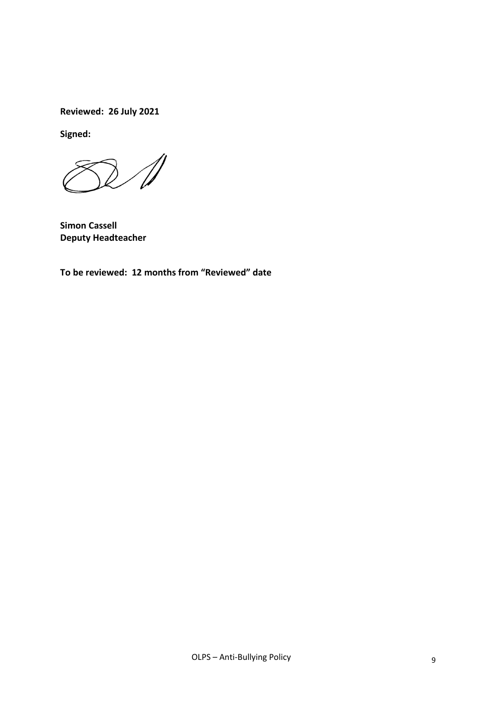**Reviewed: 26 July 2021** 

**Signed:**

 $\mathscr N$ 

**Simon Cassell Deputy Headteacher**

**To be reviewed: 12 months from "Reviewed" date**